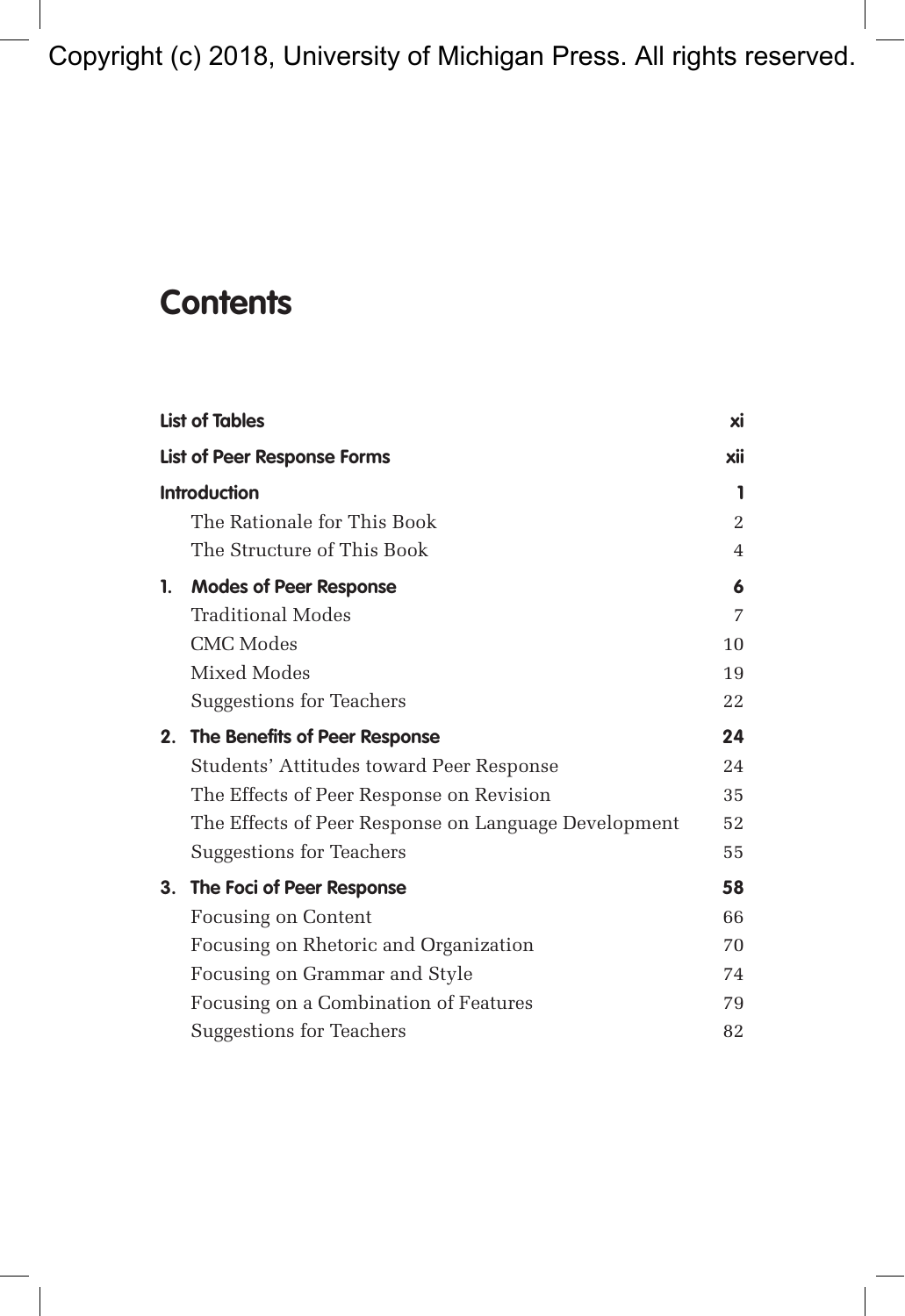Copyright (c) 2018, University of Michigan Press. All rights reserved.

## **Contents**

|                     | <b>List of Tables</b>                                | xi  |
|---------------------|------------------------------------------------------|-----|
|                     | <b>List of Peer Response Forms</b>                   | xii |
| <b>Introduction</b> |                                                      |     |
|                     | The Rationale for This Book                          | 2   |
|                     | The Structure of This Book                           | 4   |
| 1.                  | <b>Modes of Peer Response</b>                        | 6   |
|                     | Traditional Modes                                    | 7   |
|                     | <b>CMC</b> Modes                                     | 10  |
|                     | Mixed Modes                                          | 19  |
|                     | Suggestions for Teachers                             | 22  |
| 2.                  | The Benefits of Peer Response                        | 24  |
|                     | Students' Attitudes toward Peer Response             | 24  |
|                     | The Effects of Peer Response on Revision             | 35  |
|                     | The Effects of Peer Response on Language Development | 52  |
|                     | Suggestions for Teachers                             | 55  |
| 3.                  | The Foci of Peer Response                            | 58  |
|                     | <b>Focusing on Content</b>                           | 66  |
|                     | Focusing on Rhetoric and Organization                | 70  |
|                     | Focusing on Grammar and Style                        | 74  |
|                     | Focusing on a Combination of Features                | 79  |
|                     | Suggestions for Teachers                             | 82  |